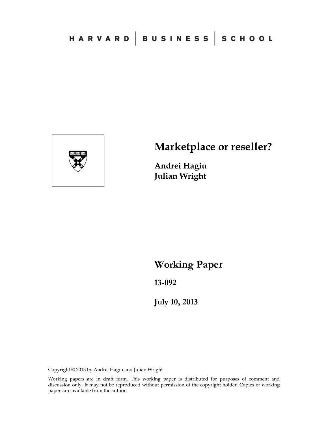

# **Marketplace or reseller?**

**Andrei Hagiu Julian Wright** 

**Working Paper** 

**13-092** 

**July 10, 2013**

Copyright © 2013 by Andrei Hagiu and Julian Wright

Working papers are in draft form. This working paper is distributed for purposes of comment and discussion only. It may not be reproduced without permission of the copyright holder. Copies of working papers are available from the author.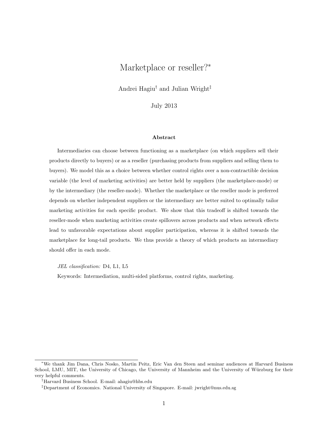## Marketplace or reseller?<sup>∗</sup>

Andrei Hagiu† and Julian Wright‡

July 2013

#### Abstract

Intermediaries can choose between functioning as a marketplace (on which suppliers sell their products directly to buyers) or as a reseller (purchasing products from suppliers and selling them to buyers). We model this as a choice between whether control rights over a non-contractible decision variable (the level of marketing activities) are better held by suppliers (the marketplace-mode) or by the intermediary (the reseller-mode). Whether the marketplace or the reseller mode is preferred depends on whether independent suppliers or the intermediary are better suited to optimally tailor marketing activities for each specific product. We show that this tradeoff is shifted towards the reseller-mode when marketing activities create spillovers across products and when network effects lead to unfavorable expectations about supplier participation, whereas it is shifted towards the marketplace for long-tail products. We thus provide a theory of which products an intermediary should offer in each mode.

JEL classification: D4, L1, L5

Keywords: Intermediation, multi-sided platforms, control rights, marketing.

<sup>∗</sup>We thank Jim Dana, Chris Nosko, Martin Peitz, Eric Van den Steen and seminar audiences at Harvard Business School, LMU, MIT, the University of Chicago, the University of Mannheim and the University of Würzburg for their very helpful comments.

<sup>†</sup>Harvard Business School. E-mail: ahagiu@hbs.edu

<sup>‡</sup>Department of Economics. National University of Singapore. E-mail: jwright@nus.edu.sg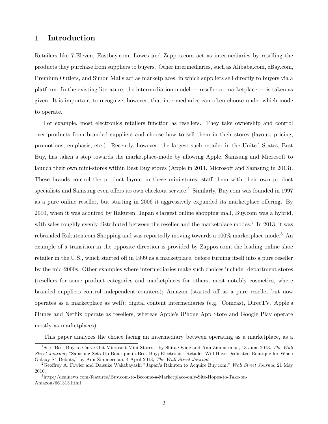## 1 Introduction

Retailers like 7-Eleven, Eastbay.com, Lowes and Zappos.com act as intermediaries by reselling the products they purchase from suppliers to buyers. Other intermediaries, such as Alibaba.com, eBay.com, Premium Outlets, and Simon Malls act as marketplaces, in which suppliers sell directly to buyers via a platform. In the existing literature, the intermediation model — reseller or marketplace — is taken as given. It is important to recognize, however, that intermediaries can often choose under which mode to operate.

For example, most electronics retailers function as resellers. They take ownership and control over products from branded suppliers and choose how to sell them in their stores (layout, pricing, promotions, emphasis, etc.). Recently, however, the largest such retailer in the United States, Best Buy, has taken a step towards the marketplace-mode by allowing Apple, Samsung and Microsoft to launch their own mini-stores within Best Buy stores (Apple in 2011, Microsoft and Samsung in 2013). These brands control the product layout in these mini-stores, staff them with their own product specialists and Samsung even offers its own checkout service.<sup>1</sup> Similarly, Buy.com was founded in 1997 as a pure online reseller, but starting in 2006 it aggressively expanded its marketplace offering. By 2010, when it was acquired by Rakuten, Japan's largest online shopping mall, Buy.com was a hybrid, with sales roughly evenly distributed between the reseller and the marketplace modes.<sup>2</sup> In 2013, it was rebranded Rakuten.com Shopping and was reportedly moving towards a  $100\%$  marketplace mode.<sup>3</sup> An example of a transition in the opposite direction is provided by Zappos.com, the leading online shoe retailer in the U.S., which started off in 1999 as a marketplace, before turning itself into a pure reseller by the mid-2000s. Other examples where intermediaries make such choices include: department stores (resellers for some product categories and marketplaces for others, most notably cosmetics, where branded suppliers control independent counters); Amazon (started off as a pure reseller but now operates as a marketplace as well); digital content intermediaries (e.g. Comcast, DirecTV, Apple's iTunes and Netflix operate as resellers, whereas Apple's iPhone App Store and Google Play operate mostly as marketplaces).

This paper analyzes the choice facing an intermediary between operating as a marketplace, as a

<sup>&</sup>lt;sup>1</sup>See "Best Buy to Carve Out Microsoft Mini-Stores," by Shira Ovide and Ann Zimmerman, 13 June 2013, The Wall Street Journal; "Samsung Sets Up Boutique in Best Buy; Electronics Retailer Will Have Dedicated Boutique for When Galaxy S4 Debuts," by Ann Zimmerman, 4 April 2013, The Wall Street Journal.

<sup>&</sup>lt;sup>2</sup>Geoffrey A. Fowler and Daisuke Wakabayashi "Japan's Rakuten to Acquire Buy.com," Wall Street Journal, 21 May 2010.

<sup>3</sup>http://dealnews.com/features/Buy.com-to-Become-a-Marketplace-only-Site-Hopes-to-Take-on-Amazon/661313.html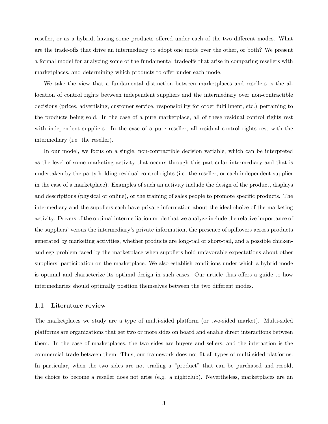reseller, or as a hybrid, having some products offered under each of the two different modes. What are the trade-offs that drive an intermediary to adopt one mode over the other, or both? We present a formal model for analyzing some of the fundamental tradeoffs that arise in comparing resellers with marketplaces, and determining which products to offer under each mode.

We take the view that a fundamental distinction between marketplaces and resellers is the allocation of control rights between independent suppliers and the intermediary over non-contractible decisions (prices, advertising, customer service, responsibility for order fulfillment, etc.) pertaining to the products being sold. In the case of a pure marketplace, all of these residual control rights rest with independent suppliers. In the case of a pure reseller, all residual control rights rest with the intermediary (i.e. the reseller).

In our model, we focus on a single, non-contractible decision variable, which can be interpreted as the level of some marketing activity that occurs through this particular intermediary and that is undertaken by the party holding residual control rights (i.e. the reseller, or each independent supplier in the case of a marketplace). Examples of such an activity include the design of the product, displays and descriptions (physical or online), or the training of sales people to promote specific products. The intermediary and the suppliers each have private information about the ideal choice of the marketing activity. Drivers of the optimal intermediation mode that we analyze include the relative importance of the suppliers' versus the intermediary's private information, the presence of spillovers across products generated by marketing activities, whether products are long-tail or short-tail, and a possible chickenand-egg problem faced by the marketplace when suppliers hold unfavorable expectations about other suppliers' participation on the marketplace. We also establish conditions under which a hybrid mode is optimal and characterize its optimal design in such cases. Our article thus offers a guide to how intermediaries should optimally position themselves between the two different modes.

#### 1.1 Literature review

The marketplaces we study are a type of multi-sided platform (or two-sided market). Multi-sided platforms are organizations that get two or more sides on board and enable direct interactions between them. In the case of marketplaces, the two sides are buyers and sellers, and the interaction is the commercial trade between them. Thus, our framework does not fit all types of multi-sided platforms. In particular, when the two sides are not trading a "product" that can be purchased and resold, the choice to become a reseller does not arise (e.g. a nightclub). Nevertheless, marketplaces are an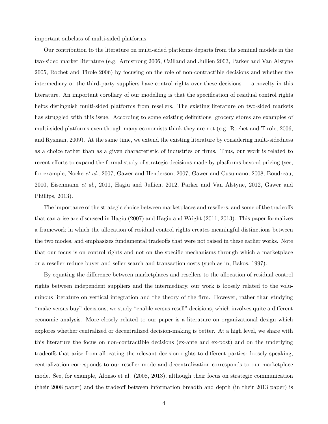important subclass of multi-sided platforms.

Our contribution to the literature on multi-sided platforms departs from the seminal models in the two-sided market literature (e.g. Armstrong 2006, Caillaud and Jullien 2003, Parker and Van Alstyne 2005, Rochet and Tirole 2006) by focusing on the role of non-contractible decisions and whether the intermediary or the third-party suppliers have control rights over these decisions — a novelty in this literature. An important corollary of our modelling is that the specification of residual control rights helps distinguish multi-sided platforms from resellers. The existing literature on two-sided markets has struggled with this issue. According to some existing definitions, grocery stores are examples of multi-sided platforms even though many economists think they are not (e.g. Rochet and Tirole, 2006, and Rysman, 2009). At the same time, we extend the existing literature by considering multi-sidedness as a choice rather than as a given characteristic of industries or firms. Thus, our work is related to recent efforts to expand the formal study of strategic decisions made by platforms beyond pricing (see, for example, Nocke et al., 2007, Gawer and Henderson, 2007, Gawer and Cusumano, 2008, Boudreau, 2010, Eisenmann et al., 2011, Hagiu and Jullien, 2012, Parker and Van Alstyne, 2012, Gawer and Phillips, 2013).

The importance of the strategic choice between marketplaces and resellers, and some of the tradeoffs that can arise are discussed in Hagiu (2007) and Hagiu and Wright (2011, 2013). This paper formalizes a framework in which the allocation of residual control rights creates meaningful distinctions between the two modes, and emphasizes fundamental tradeoffs that were not raised in these earlier works. Note that our focus is on control rights and not on the specific mechanisms through which a marketplace or a reseller reduce buyer and seller search and transaction costs (such as in, Bakos, 1997).

By equating the difference between marketplaces and resellers to the allocation of residual control rights between independent suppliers and the intermediary, our work is loosely related to the voluminous literature on vertical integration and the theory of the firm. However, rather than studying "make versus buy" decisions, we study "enable versus resell" decisions, which involves quite a different economic analysis. More closely related to our paper is a literature on organizational design which explores whether centralized or decentralized decision-making is better. At a high level, we share with this literature the focus on non-contractible decisions (ex-ante and ex-post) and on the underlying tradeoffs that arise from allocating the relevant decision rights to different parties: loosely speaking, centralization corresponds to our reseller mode and decentralization corresponds to our marketplace mode. See, for example, Alonso et al. (2008, 2013), although their focus on strategic communication (their 2008 paper) and the tradeoff between information breadth and depth (in their 2013 paper) is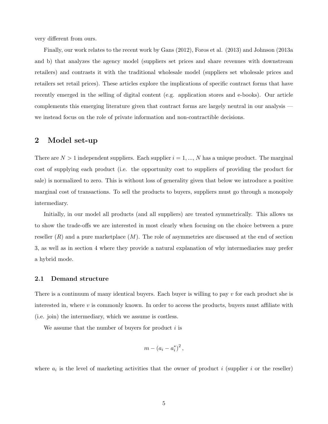very different from ours.

Finally, our work relates to the recent work by Gans (2012), Foros et al. (2013) and Johnson (2013a and b) that analyzes the agency model (suppliers set prices and share revenues with downstream retailers) and contrasts it with the traditional wholesale model (suppliers set wholesale prices and retailers set retail prices). These articles explore the implications of specific contract forms that have recently emerged in the selling of digital content (e.g. application stores and e-books). Our article complements this emerging literature given that contract forms are largely neutral in our analysis we instead focus on the role of private information and non-contractible decisions.

### 2 Model set-up

There are  $N > 1$  independent suppliers. Each supplier  $i = 1, ..., N$  has a unique product. The marginal cost of supplying each product (i.e. the opportunity cost to suppliers of providing the product for sale) is normalized to zero. This is without loss of generality given that below we introduce a positive marginal cost of transactions. To sell the products to buyers, suppliers must go through a monopoly intermediary.

Initially, in our model all products (and all suppliers) are treated symmetrically. This allows us to show the trade-offs we are interested in most clearly when focusing on the choice between a pure reseller  $(R)$  and a pure marketplace  $(M)$ . The role of asymmetries are discussed at the end of section 3, as well as in section 4 where they provide a natural explanation of why intermediaries may prefer a hybrid mode.

#### 2.1 Demand structure

There is a continuum of many identical buyers. Each buyer is willing to pay  $v$  for each product she is interested in, where  $v$  is commonly known. In order to access the products, buyers must affiliate with (i.e. join) the intermediary, which we assume is costless.

We assume that the number of buyers for product  $i$  is

$$
m-(a_i-a_i^*)^2\,,
$$

where  $a_i$  is the level of marketing activities that the owner of product i (supplier i or the reseller)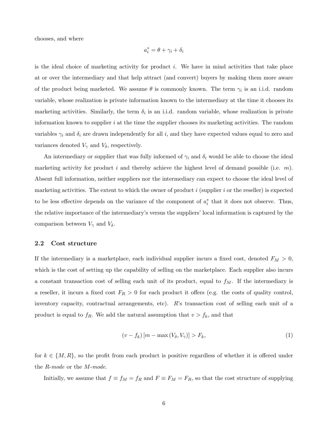chooses, and where

$$
a_i^* = \theta + \gamma_i + \delta_i
$$

is the ideal choice of marketing activity for product  $i$ . We have in mind activities that take place at or over the intermediary and that help attract (and convert) buyers by making them more aware of the product being marketed. We assume  $\theta$  is commonly known. The term  $\gamma_i$  is an i.i.d. random variable, whose realization is private information known to the intermediary at the time it chooses its marketing activities. Similarly, the term  $\delta_i$  is an i.i.d. random variable, whose realization is private information known to supplier  $i$  at the time the supplier chooses its marketing activities. The random variables  $\gamma_i$  and  $\delta_i$  are drawn independently for all i, and they have expected values equal to zero and variances denoted  $V_{\gamma}$  and  $V_{\delta}$ , respectively.

An intermediary or supplier that was fully informed of  $\gamma_i$  and  $\delta_i$  would be able to choose the ideal marketing activity for product i and thereby achieve the highest level of demand possible (i.e.  $m$ ). Absent full information, neither suppliers nor the intermediary can expect to choose the ideal level of marketing activities. The extent to which the owner of product i (supplier i or the reseller) is expected to be less effective depends on the variance of the component of  $a_i^*$  that it does not observe. Thus, the relative importance of the intermediary's versus the suppliers' local information is captured by the comparison between  $V_{\gamma}$  and  $V_{\delta}$ .

#### 2.2 Cost structure

If the intermediary is a marketplace, each individual supplier incurs a fixed cost, denoted  $F_M > 0$ , which is the cost of setting up the capability of selling on the marketplace. Each supplier also incurs a constant transaction cost of selling each unit of its product, equal to  $f_M$ . If the intermediary is a reseller, it incurs a fixed cost  $F_R > 0$  for each product it offers (e.g. the costs of quality control, inventory capacity, contractual arrangements, etc). R's transaction cost of selling each unit of a product is equal to  $f_R$ . We add the natural assumption that  $v > f_k$ , and that

$$
(v - f_k)[m - \max(V_\delta, V_\gamma)] > F_k,
$$
\n<sup>(1)</sup>

for  $k \in \{M, R\}$ , so the profit from each product is positive regardless of whether it is offered under the R-mode or the M-mode.

Initially, we assume that  $f \equiv f_M = f_R$  and  $F \equiv F_M = F_R$ , so that the cost structure of supplying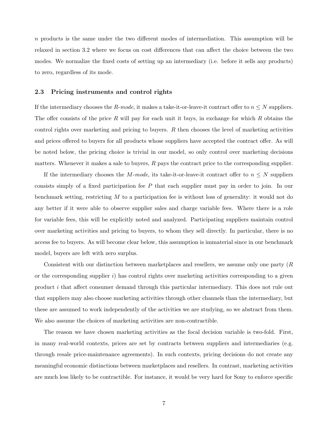$n$  products is the same under the two different modes of intermediation. This assumption will be relaxed in section 3.2 where we focus on cost differences that can affect the choice between the two modes. We normalize the fixed costs of setting up an intermediary (i.e. before it sells any products) to zero, regardless of its mode.

#### 2.3 Pricing instruments and control rights

If the intermediary chooses the R-mode, it makes a take-it-or-leave-it contract offer to  $n \leq N$  suppliers. The offer consists of the price R will pay for each unit it buys, in exchange for which R obtains the control rights over marketing and pricing to buyers. R then chooses the level of marketing activities and prices offered to buyers for all products whose suppliers have accepted the contract offer. As will be noted below, the pricing choice is trivial in our model, so only control over marketing decisions matters. Whenever it makes a sale to buyers,  $R$  pays the contract price to the corresponding supplier.

If the intermediary chooses the M-mode, its take-it-or-leave-it contract offer to  $n \leq N$  suppliers consists simply of a fixed participation fee P that each supplier must pay in order to join. In our benchmark setting, restricting  $M$  to a participation fee is without loss of generality: it would not do any better if it were able to observe supplier sales and charge variable fees. Where there is a role for variable fees, this will be explicitly noted and analyzed. Participating suppliers maintain control over marketing activities and pricing to buyers, to whom they sell directly. In particular, there is no access fee to buyers. As will become clear below, this assumption is immaterial since in our benchmark model, buyers are left with zero surplus.

Consistent with our distinction between marketplaces and resellers, we assume only one party (R or the corresponding supplier i) has control rights over marketing activities corresponding to a given product i that affect consumer demand through this particular intermediary. This does not rule out that suppliers may also choose marketing activities through other channels than the intermediary, but these are assumed to work independently of the activities we are studying, so we abstract from them. We also assume the choices of marketing activities are non-contractible.

The reason we have chosen marketing activities as the focal decision variable is two-fold. First, in many real-world contexts, prices are set by contracts between suppliers and intermediaries (e.g. through resale price-maintenance agreements). In such contexts, pricing decisions do not create any meaningful economic distinctions between marketplaces and resellers. In contrast, marketing activities are much less likely to be contractible. For instance, it would be very hard for Sony to enforce specific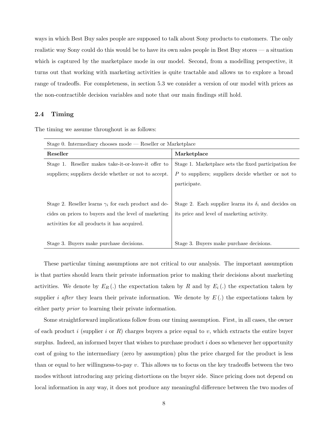ways in which Best Buy sales people are supposed to talk about Sony products to customers. The only realistic way Sony could do this would be to have its own sales people in Best Buy stores — a situation which is captured by the marketplace mode in our model. Second, from a modelling perspective, it turns out that working with marketing activities is quite tractable and allows us to explore a broad range of tradeoffs. For completeness, in section 5.3 we consider a version of our model with prices as the non-contractible decision variables and note that our main findings still hold.

#### 2.4 Timing

The timing we assume throughout is as follows:

| Stage 0. Intermediary chooses mode $-$ Reseller or Marketplace |                                                             |
|----------------------------------------------------------------|-------------------------------------------------------------|
| Reseller                                                       | Marketplace                                                 |
| Stage 1. Reseller makes take-it-or-leave-it offer to           | Stage 1. Marketplace sets the fixed participation fee       |
| suppliers; suppliers decide whether or not to accept.          | P to suppliers; suppliers decide whether or not to          |
|                                                                | participate.                                                |
|                                                                |                                                             |
| Stage 2. Reseller learns $\gamma_i$ for each product and de-   | Stage 2. Each supplier learns its $\delta_i$ and decides on |
| cides on prices to buyers and the level of marketing           | its price and level of marketing activity.                  |
| activities for all products it has acquired.                   |                                                             |
|                                                                |                                                             |
| Stage 3. Buyers make purchase decisions.                       | Stage 3. Buyers make purchase decisions.                    |

These particular timing assumptions are not critical to our analysis. The important assumption is that parties should learn their private information prior to making their decisions about marketing activities. We denote by  $E_R(.)$  the expectation taken by R and by  $E_i(.)$  the expectation taken by supplier *i* after they learn their private information. We denote by  $E(.)$  the expectations taken by either party prior to learning their private information.

Some straightforward implications follow from our timing assumption. First, in all cases, the owner of each product i (supplier i or R) charges buyers a price equal to v, which extracts the entire buyer surplus. Indeed, an informed buyer that wishes to purchase product  $i$  does so whenever her opportunity cost of going to the intermediary (zero by assumption) plus the price charged for the product is less than or equal to her willingness-to-pay v. This allows us to focus on the key tradeoffs between the two modes without introducing any pricing distortions on the buyer side. Since pricing does not depend on local information in any way, it does not produce any meaningful difference between the two modes of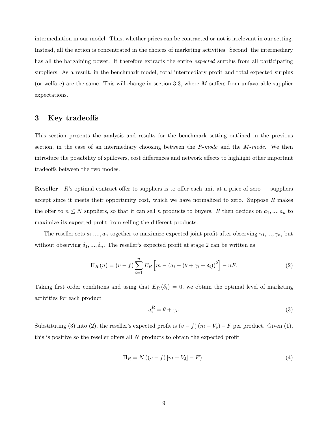intermediation in our model. Thus, whether prices can be contracted or not is irrelevant in our setting. Instead, all the action is concentrated in the choices of marketing activities. Second, the intermediary has all the bargaining power. It therefore extracts the entire *expected* surplus from all participating suppliers. As a result, in the benchmark model, total intermediary profit and total expected surplus (or welfare) are the same. This will change in section 3.3, where  $M$  suffers from unfavorable supplier expectations.

## 3 Key tradeoffs

This section presents the analysis and results for the benchmark setting outlined in the previous section, in the case of an intermediary choosing between the  $R$ -mode and the  $M$ -mode. We then introduce the possibility of spillovers, cost differences and network effects to highlight other important tradeoffs between the two modes.

**Reseller**  $R$ 's optimal contract offer to suppliers is to offer each unit at a price of zero — suppliers accept since it meets their opportunity cost, which we have normalized to zero. Suppose  $R$  makes the offer to  $n \leq N$  suppliers, so that it can sell n products to buyers. R then decides on  $a_1, ..., a_n$  to maximize its expected profit from selling the different products.

The reseller sets  $a_1, ..., a_n$  together to maximize expected joint profit after observing  $\gamma_1, ..., \gamma_n$ , but without observing  $\delta_1, ..., \delta_n$ . The reseller's expected profit at stage 2 can be written as

$$
\Pi_R(n) = (v - f) \sum_{i=1}^n E_R \left[ m - (a_i - (\theta + \gamma_i + \delta_i))^2 \right] - nF. \tag{2}
$$

Taking first order conditions and using that  $E_R(\delta_i) = 0$ , we obtain the optimal level of marketing activities for each product

$$
a_i^R = \theta + \gamma_i. \tag{3}
$$

Substituting (3) into (2), the reseller's expected profit is  $(v - f)(m - V_\delta) - F$  per product. Given (1), this is positive so the reseller offers all N products to obtain the expected profit

$$
\Pi_R = N\left( (v - f) \left[ m - V_\delta \right] - F \right). \tag{4}
$$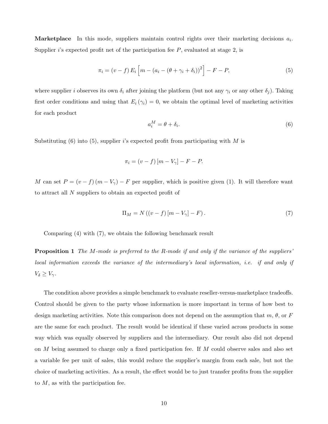**Marketplace** In this mode, suppliers maintain control rights over their marketing decisions  $a_i$ . Supplier i's expected profit net of the participation fee  $P$ , evaluated at stage  $2$ , is

$$
\pi_i = (v - f) E_i \left[ m - (a_i - (\theta + \gamma_i + \delta_i))^2 \right] - F - P,
$$
\n(5)

where supplier i observes its own  $\delta_i$  after joining the platform (but not any  $\gamma_i$  or any other  $\delta_j$ ). Taking first order conditions and using that  $E_i(\gamma_i) = 0$ , we obtain the optimal level of marketing activities for each product

$$
a_i^M = \theta + \delta_i. \tag{6}
$$

Substituting  $(6)$  into  $(5)$ , supplier is expected profit from participating with M is

$$
\pi_i = (v - f) [m - V_{\gamma}] - F - P.
$$

M can set  $P = (v - f)(m - V_{\gamma}) - F$  per supplier, which is positive given (1). It will therefore want to attract all N suppliers to obtain an expected profit of

$$
\Pi_M = N\left( (v - f) \left[ m - V_\gamma \right] - F \right). \tag{7}
$$

Comparing (4) with (7), we obtain the following benchmark result

**Proposition 1** The M-mode is preferred to the R-mode if and only if the variance of the suppliers' local information exceeds the variance of the intermediary's local information, i.e. if and only if  $V_{\delta} \geq V_{\gamma}.$ 

The condition above provides a simple benchmark to evaluate reseller-versus-marketplace tradeoffs. Control should be given to the party whose information is more important in terms of how best to design marketing activities. Note this comparison does not depend on the assumption that  $m, \theta$ , or F are the same for each product. The result would be identical if these varied across products in some way which was equally observed by suppliers and the intermediary. Our result also did not depend on M being assumed to charge only a fixed participation fee. If M could observe sales and also set a variable fee per unit of sales, this would reduce the supplier's margin from each sale, but not the choice of marketing activities. As a result, the effect would be to just transfer profits from the supplier to  $M$ , as with the participation fee.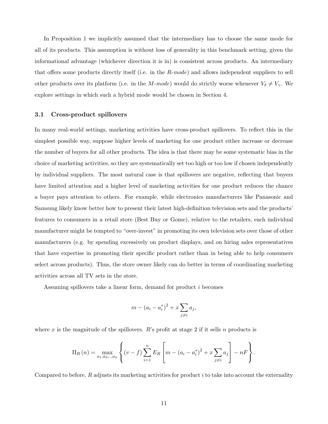In Proposition 1 we implicitly assumed that the intermediary has to choose the same mode for all of its products. This assumption is without loss of generality in this benchmark setting, given the informational advantage (whichever direction it is in) is consistent across products. An intermediary that offers some products directly itself (i.e. in the  $R$ -mode) and allows independent suppliers to sell other products over its platform (i.e. in the M-mode) would do strictly worse whenever  $V_{\delta} \neq V_{\gamma}$ . We explore settings in which such a hybrid mode would be chosen in Section 4.

#### 3.1 Cross-product spillovers

In many real-world settings, marketing activities have cross-product spillovers. To reflect this in the simplest possible way, suppose higher levels of marketing for one product either increase or decrease the number of buyers for all other products. The idea is that there may be some systematic bias in the choice of marketing activities, so they are systematically set too high or too low if chosen independently by individual suppliers. The most natural case is that spillovers are negative, reflecting that buyers have limited attention and a higher level of marketing activities for one product reduces the chance a buyer pays attention to others. For example, while electronics manufacturers like Panasonic and Samsung likely know better how to present their latest high-definition television sets and the products' features to consumers in a retail store (Best Buy or Gome), relative to the retailers, each individual manufacturer might be tempted to "over-invest" in promoting its own television sets over those of other manufacturers (e.g. by spending excessively on product displays, and on hiring sales representatives that have expertise in promoting their specific product rather than in being able to help consumers select across products). Thus, the store owner likely can do better in terms of coordinating marketing activities across all TV sets in the store.

Assuming spillovers take a linear form, demand for product i becomes

$$
m - (a_i - a_i^*)^2 + x \sum_{j \neq i} a_j,
$$

where x is the magnitude of the spillovers. R's profit at stage 2 if it sells n products is

$$
\Pi_R(n) = \max_{a_1, a_2, \dots, a_n} \left\{ (v - f) \sum_{i=1}^n E_R \left[ m - (a_i - a_i^*)^2 + x \sum_{j \neq i} a_j \right] - nF \right\}.
$$

Compared to before,  $R$  adjusts its marketing activities for product i to take into account the externality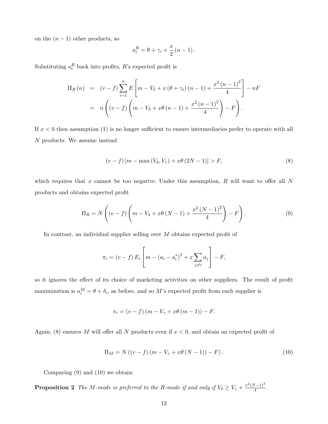on the  $(n - 1)$  other products, so

$$
a_i^R = \theta + \gamma_i + \frac{x}{2} (n-1).
$$

Substituting  $a_i^R$  back into profits, R's expected profit is

$$
\Pi_R(n) = (v - f) \sum_{i=1}^n E\left[m - V_{\delta} + x(\theta + \gamma_i)(n - 1) + \frac{x^2(n - 1)^2}{4}\right] - nF
$$
  
=  $n \left( (v - f) \left(m - V_{\delta} + x\theta(n - 1) + \frac{x^2(n - 1)^2}{4}\right) - F \right).$ 

If  $x < 0$  then assumption (1) is no longer sufficient to ensure intermediaries prefer to operate with all N products. We assume instead

$$
(v-f)[m - \max(V_{\delta}, V_{\gamma}) + x\theta(2N - 1)] > F,
$$
\n
$$
(8)
$$

which requires that x cannot be too negative. Under this assumption,  $R$  will want to offer all  $N$ products and obtains expected profit

$$
\Pi_R = N\left((v-f)\left(m - V_\delta + x\theta\left(N-1\right) + \frac{x^2\left(N-1\right)^2}{4}\right) - F\right). \tag{9}
$$

In contrast, an individual supplier selling over M obtains expected profit of

$$
\pi_i = (v - f) E_i \left[ m - (a_i - a_i^*)^2 + x \sum_{j \neq i} a_j \right] - F,
$$

so it ignores the effect of its choice of marketing activities on other suppliers. The result of profit maximization is  $a_i^M = \theta + \delta_i$ , as before, and so M's expected profit from each supplier is

$$
\pi_i = (v - f)(m - V_{\gamma} + x\theta(m - 1)) - F.
$$

Again, (8) ensures M will offer all N products even if  $x < 0$ , and obtain an expected profit of

$$
\Pi_M = N((v - f)(m - V_{\gamma} + x\theta (N - 1)) - F).
$$
\n(10)

Comparing (9) and (10) we obtain:

**Proposition 2** The M-mode is preferred to the R-mode if and only if  $V_{\delta} \ge V_{\gamma} + \frac{x^2(N-1)^2}{4}$  $\frac{\sqrt{(-1)}}{4}$ .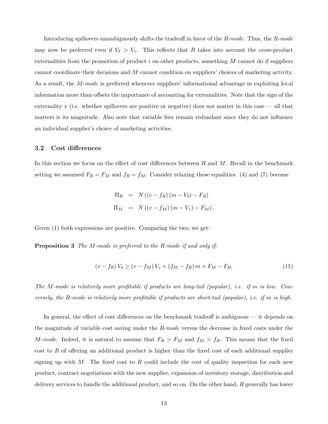Introducing spillovers unambiguously shifts the tradeoff in favor of the R-mode. Thus, the R-mode may now be preferred even if  $V_{\delta} > V_{\gamma}$ . This reflects that R takes into account the cross-product externalities from the promotion of product  $i$  on other products, something  $M$  cannot do if suppliers cannot coordinate their decisions and M cannot condition on suppliers' choices of marketing activity. As a result, the *M-mode* is preferred whenever suppliers' informational advantage in exploiting local information more than offsets the importance of accounting for externalities. Note that the sign of the externality x (i.e. whether spillovers are positive or negative) does not matter in this case — all that matters is its magnitude. Also note that variable fees remain redundant since they do not influence an individual supplier's choice of marketing activities.

#### 3.2 Cost differences

In this section we focus on the effect of cost differences between  $R$  and  $M$ . Recall in the benchmark setting we assumed  $F_R = F_M$  and  $f_R = f_M$ . Consider relaxing these equalities. (4) and (7) become

$$
\Pi_R = N ((v - f_R) (m - V_\delta) - F_R)
$$
  

$$
\Pi_M = N ((v - f_M) (m - V_\gamma) - F_M).
$$

Given (1) both expressions are positive. Comparing the two, we get:

**Proposition 3** The M-mode is preferred to the R-mode if and only if:

$$
(v - f_R) V_{\delta} \ge (v - f_M) V_{\gamma} + (f_M - f_R) m + F_M - F_R.
$$
 (11)

The M-mode is relatively more profitable if products are long-tail (popular), i.e. if m is low. Conversely, the R-mode is relatively more profitable if products are short-tail (popular), i.e. if m is high.

In general, the effect of cost differences on the benchmark tradeoff is ambiguous — it depends on the magnitude of variable cost saving under the  $R$ -mode versus the decrease in fixed costs under the M-mode. Indeed, it is natural to assume that  $F_R > F_M$  and  $f_M > f_R$ . This means that the fixed cost to R of offering an additional product is higher than the fixed cost of each additional supplier signing up with  $M$ . The fixed cost to  $R$  could include the cost of quality inspection for each new product, contract negotiations with the new supplier, expansion of inventory storage, distribution and delivery services to handle the additional product, and so on. On the other hand, R generally has lower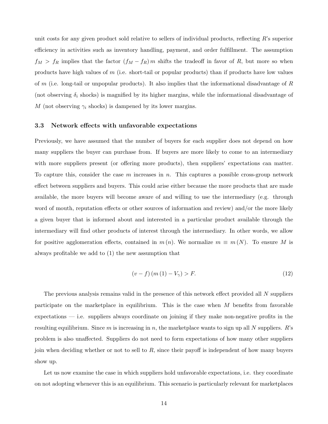unit costs for any given product sold relative to sellers of individual products, reflecting R's superior efficiency in activities such as inventory handling, payment, and order fulfillment. The assumption  $f_M > f_R$  implies that the factor  $(f_M - f_R)$  m shifts the tradeoff in favor of R, but more so when products have high values of m (i.e. short-tail or popular products) than if products have low values of m (i.e. long-tail or unpopular products). It also implies that the informational disadvantage of  $R$ (not observing  $\delta_i$  shocks) is magnified by its higher margins, while the informational disadvantage of M (not observing  $\gamma_i$  shocks) is dampened by its lower margins.

#### 3.3 Network effects with unfavorable expectations

Previously, we have assumed that the number of buyers for each supplier does not depend on how many suppliers the buyer can purchase from. If buyers are more likely to come to an intermediary with more suppliers present (or offering more products), then suppliers' expectations can matter. To capture this, consider the case  $m$  increases in  $n$ . This captures a possible cross-group network effect between suppliers and buyers. This could arise either because the more products that are made available, the more buyers will become aware of and willing to use the intermediary (e.g. through word of mouth, reputation effects or other sources of information and review) and/or the more likely a given buyer that is informed about and interested in a particular product available through the intermediary will find other products of interest through the intermediary. In other words, we allow for positive agglomeration effects, contained in  $m(n)$ . We normalize  $m \equiv m(N)$ . To ensure M is always profitable we add to (1) the new assumption that

$$
(v - f) (m (1) - V_{\gamma}) > F.
$$
 (12)

The previous analysis remains valid in the presence of this network effect provided all N suppliers participate on the marketplace in equilibrium. This is the case when  $M$  benefits from favorable expectations — i.e. suppliers always coordinate on joining if they make non-negative profits in the resulting equilibrium. Since m is increasing in n, the marketplace wants to sign up all N suppliers. R's problem is also unaffected. Suppliers do not need to form expectations of how many other suppliers join when deciding whether or not to sell to  $R$ , since their payoff is independent of how many buyers show up.

Let us now examine the case in which suppliers hold unfavorable expectations, i.e. they coordinate on not adopting whenever this is an equilibrium. This scenario is particularly relevant for marketplaces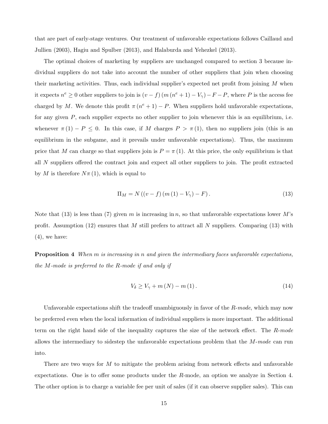that are part of early-stage ventures. Our treatment of unfavorable expectations follows Caillaud and Jullien (2003), Hagiu and Spulber (2013), and Halaburda and Yehezkel (2013).

The optimal choices of marketing by suppliers are unchanged compared to section 3 because individual suppliers do not take into account the number of other suppliers that join when choosing their marketing activities. Thus, each individual supplier's expected net profit from joining  $M$  when it expects  $n^e \geq 0$  other suppliers to join is  $(v - f)(m(n^e + 1) - V_\gamma) - F - P$ , where P is the access fee charged by M. We denote this profit  $\pi (n^e + 1) - P$ . When suppliers hold unfavorable expectations, for any given P, each supplier expects no other supplier to join whenever this is an equilibrium, i.e. whenever  $\pi(1) - P \leq 0$ . In this case, if M charges  $P > \pi(1)$ , then no suppliers join (this is an equilibrium in the subgame, and it prevails under unfavorable expectations). Thus, the maximum price that M can charge so that suppliers join is  $P = \pi(1)$ . At this price, the only equilibrium is that all N suppliers offered the contract join and expect all other suppliers to join. The profit extracted by M is therefore  $N\pi(1)$ , which is equal to

$$
\Pi_M = N((v - f)(m(1) - V_\gamma) - F).
$$
\n(13)

Note that (13) is less than (7) given m is increasing in n, so that unfavorable expectations lower M's profit. Assumption (12) ensures that M still prefers to attract all N suppliers. Comparing (13) with  $(4)$ , we have:

**Proposition 4** When  $m$  is increasing in  $n$  and given the intermediary faces unfavorable expectations. the M-mode is preferred to the R-mode if and only if

$$
V_{\delta} \ge V_{\gamma} + m(N) - m(1). \tag{14}
$$

Unfavorable expectations shift the tradeoff unambiguously in favor of the  $R$ -mode, which may now be preferred even when the local information of individual suppliers is more important. The additional term on the right hand side of the inequality captures the size of the network effect. The R-mode allows the intermediary to sidestep the unfavorable expectations problem that the  $M$ -mode can run into.

There are two ways for M to mitigate the problem arising from network effects and unfavorable expectations. One is to offer some products under the R-mode, an option we analyze in Section 4. The other option is to charge a variable fee per unit of sales (if it can observe supplier sales). This can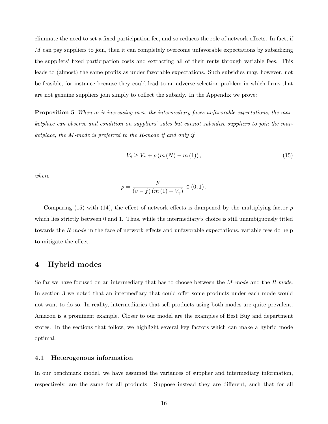eliminate the need to set a fixed participation fee, and so reduces the role of network effects. In fact, if  $M$  can pay suppliers to join, then it can completely overcome unfavorable expectations by subsidizing the suppliers' fixed participation costs and extracting all of their rents through variable fees. This leads to (almost) the same profits as under favorable expectations. Such subsidies may, however, not be feasible, for instance because they could lead to an adverse selection problem in which firms that are not genuine suppliers join simply to collect the subsidy. In the Appendix we prove:

**Proposition 5** When m is increasing in n, the intermediary faces unfavorable expectations, the marketplace can observe and condition on suppliers' sales but cannot subsidize suppliers to join the marketplace, the M-mode is preferred to the R-mode if and only if

$$
V_{\delta} \ge V_{\gamma} + \rho \left( m \left( N \right) - m \left( 1 \right) \right),\tag{15}
$$

where

$$
\rho = \frac{F}{\left(v - f\right)\left(m\left(1\right) - V_{\gamma}\right)} \in \left(0, 1\right).
$$

Comparing (15) with (14), the effect of network effects is dampened by the multiplying factor  $\rho$ which lies strictly between 0 and 1. Thus, while the intermediary's choice is still unambiguously titled towards the R-mode in the face of network effects and unfavorable expectations, variable fees do help to mitigate the effect.

## 4 Hybrid modes

So far we have focused on an intermediary that has to choose between the M-mode and the R-mode. In section 3 we noted that an intermediary that could offer some products under each mode would not want to do so. In reality, intermediaries that sell products using both modes are quite prevalent. Amazon is a prominent example. Closer to our model are the examples of Best Buy and department stores. In the sections that follow, we highlight several key factors which can make a hybrid mode optimal.

#### 4.1 Heterogenous information

In our benchmark model, we have assumed the variances of supplier and intermediary information, respectively, are the same for all products. Suppose instead they are different, such that for all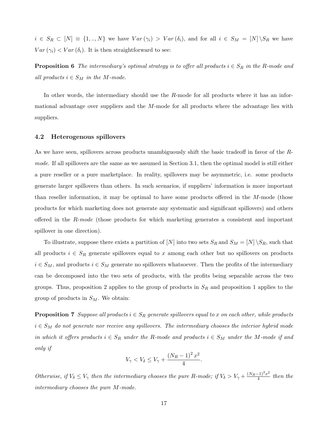$i \in S_R \subset [N] \equiv \{1, ..., N\}$  we have  $Var(\gamma_i) > Var(\delta_i)$ , and for all  $i \in S_M = [N] \backslash S_R$  we have  $Var(\gamma_i) < Var(\delta_i)$ . It is then straightforward to see:

**Proposition 6** The intermediary's optimal strategy is to offer all products  $i \in S_R$  in the R-mode and all products  $i \in S_M$  in the M-mode.

In other words, the intermediary should use the R-mode for all products where it has an informational advantage over suppliers and the  $M$ -mode for all products where the advantage lies with suppliers.

#### 4.2 Heterogenous spillovers

As we have seen, spillovers across products unambiguously shift the basic tradeoff in favor of the Rmode. If all spillovers are the same as we assumed in Section 3.1, then the optimal model is still either a pure reseller or a pure marketplace. In reality, spillovers may be asymmetric, i.e. some products generate larger spillovers than others. In such scenarios, if suppliers' information is more important than reseller information, it may be optimal to have some products offered in the M-mode (those products for which marketing does not generate any systematic and significant spillovers) and others offered in the  $R$ -mode (those products for which marketing generates a consistent and important spillover in one direction).

To illustrate, suppose there exists a partition of [N] into two sets  $S_R$  and  $S_M = [N] \setminus S_R$ , such that all products  $i \in S_R$  generate spillovers equal to x among each other but no spillovers on products  $i \in S_M$ , and products  $i \in S_M$  generate no spillovers whatsoever. Then the profits of the intermediary can be decomposed into the two sets of products, with the profits being separable across the two groups. Thus, proposition 2 applies to the group of products in  $S_R$  and proposition 1 applies to the group of products in  $S_M$ . We obtain:

**Proposition 7** Suppose all products  $i \in S_R$  generate spillovers equal to x on each other, while products  $i \in S_M$  do not generate nor receive any spillovers. The intermediary chooses the interior hybrid mode in which it offers products  $i \in S_R$  under the R-mode and products  $i \in S_M$  under the M-mode if and only if

$$
V_{\gamma} < V_{\delta} \le V_{\gamma} + \frac{(N_R - 1)^2 x^2}{4}.
$$

Otherwise, if  $V_\delta \leq V_\gamma$  then the intermediary chooses the pure R-mode; if  $V_\delta > V_\gamma + \frac{(N_R-1)^2 x^2}{4}$  $\frac{(-1)^x}{4}$  then the intermediary chooses the pure M-mode.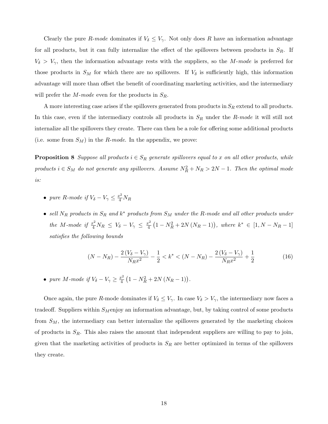Clearly the pure R-mode dominates if  $V_{\delta} \leq V_{\gamma}$ . Not only does R have an information advantage for all products, but it can fully internalize the effect of the spillovers between products in  $S_R$ . If  $V_{\delta} > V_{\gamma}$ , then the information advantage rests with the suppliers, so the M-mode is preferred for those products in  $S_M$  for which there are no spillovers. If  $V_\delta$  is sufficiently high, this information advantage will more than offset the benefit of coordinating marketing activities, and the intermediary will prefer the M-mode even for the products in  $S_R$ .

A more interesting case arises if the spillovers generated from products in  $S_R$  extend to all products. In this case, even if the intermediary controls all products in  $S_R$  under the R-mode it will still not internalize all the spillovers they create. There can then be a role for offering some additional products (i.e. some from  $S_M$ ) in the R-mode. In the appendix, we prove:

**Proposition 8** Suppose all products  $i \in S_R$  generate spillovers equal to x on all other products, while products  $i \in S_M$  do not generate any spillovers. Assume  $N_R^2 + N_R > 2N - 1$ . Then the optimal mode is:

- pure R-mode if  $V_{\delta} V_{\gamma} \leq \frac{x^2}{4} N_R$
- sell  $N_R$  products in  $S_R$  and  $k^*$  products from  $S_M$  under the R-mode and all other products under the M-mode if  $\frac{x^2}{4}N_R \leq V_\delta - V_\gamma \leq \frac{x^2}{4}$  $\frac{c^2}{4}(1-N_R^2+2N(N_R-1)),$  where  $k^* \in [1, N-N_R-1]$ satisfies the following bounds

$$
(N - N_R) - \frac{2(V_\delta - V_\gamma)}{N_R x^2} - \frac{1}{2} < k^* < (N - N_R) - \frac{2(V_\delta - V_\gamma)}{N_R x^2} + \frac{1}{2} \tag{16}
$$

• pure M-mode if  $V_{\delta} - V_{\gamma} \geq \frac{x^2}{4}$  $\frac{x^2}{4}(1-N_R^2+2N(N_R-1)).$ 

Once again, the pure R-mode dominates if  $V_{\delta} \leq V_{\gamma}$ . In case  $V_{\delta} > V_{\gamma}$ , the intermediary now faces a tradeoff. Suppliers within  $S_M$ enjoy an information advantage, but, by taking control of some products from  $S_M$ , the intermediary can better internalize the spillovers generated by the marketing choices of products in  $S_R$ . This also raises the amount that independent suppliers are willing to pay to join, given that the marketing activities of products in  $S_R$  are better optimized in terms of the spillovers they create.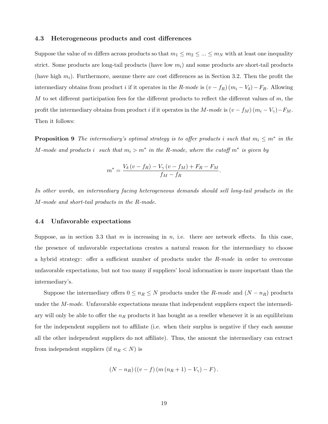#### 4.3 Heterogeneous products and cost differences

Suppose the value of m differs across products so that  $m_1 \leq m_2 \leq ... \leq m_N$  with at least one inequality strict. Some products are long-tail products (have low  $m_i$ ) and some products are short-tail products (have high  $m_i$ ). Furthermore, assume there are cost differences as in Section 3.2. Then the profit the intermediary obtains from product i if it operates in the R-mode is  $(v - f_R)(m_i - V_\delta) - F_R$ . Allowing M to set different participation fees for the different products to reflect the different values of  $m$ , the profit the intermediary obtains from product i if it operates in the M-mode is  $(v - f_M)(m_i - V_{\gamma}) - F_M$ . Then it follows:

**Proposition 9** The intermediary's optimal strategy is to offer products i such that  $m_i \leq m^*$  in the M-mode and products i such that  $m_i > m^*$  in the R-mode, where the cutoff  $m^*$  is given by

$$
m^* = \frac{V_\delta\left(v - f_R\right) - V_\gamma\left(v - f_M\right) + F_R - F_M}{f_M - f_R}.
$$

In other words, an intermediary facing heterogeneous demands should sell long-tail products in the M-mode and short-tail products in the R-mode.

#### 4.4 Unfavorable expectations

Suppose, as in section 3.3 that m is increasing in n, i.e. there are network effects. In this case, the presence of unfavorable expectations creates a natural reason for the intermediary to choose a hybrid strategy: offer a sufficient number of products under the R-mode in order to overcome unfavorable expectations, but not too many if suppliers' local information is more important than the intermediary's.

Suppose the intermediary offers  $0 \leq n_R \leq N$  products under the R-mode and  $(N - n_R)$  products under the *M-mode*. Unfavorable expectations means that independent suppliers expect the intermediary will only be able to offer the  $n_R$  products it has bought as a reseller whenever it is an equilibrium for the independent suppliers not to affiliate (i.e. when their surplus is negative if they each assume all the other independent suppliers do not affiliate). Thus, the amount the intermediary can extract from independent suppliers (if  $n_R < N$ ) is

$$
(N - nR) ((v - f) (m (nR + 1) - V\gamma) - F).
$$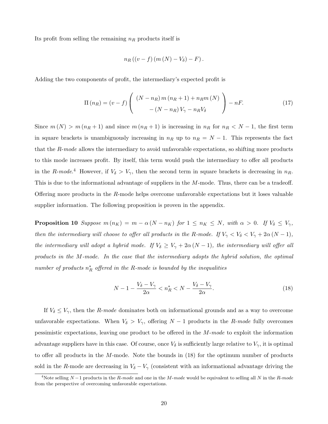Its profit from selling the remaining  $n_R$  products itself is

$$
n_R((v-f)(m(N)-V_\delta)-F).
$$

Adding the two components of profit, the intermediary's expected profit is

$$
\Pi\left(n_R\right) = \left(v - f\right) \left( \begin{array}{c} \left(N - n_R\right)m\left(n_R + 1\right) + n_R m\left(N\right) \\ - \left(N - n_R\right)V_\gamma - n_R V_\delta \end{array} \right) - nF. \tag{17}
$$

Since  $m(N) > m(n_R + 1)$  and since  $m(n_R + 1)$  is increasing in  $n_R$  for  $n_R < N - 1$ , the first term in square brackets is unambiguously increasing in  $n_R$  up to  $n_R = N - 1$ . This represents the fact that the  $R$ -mode allows the intermediary to avoid unfavorable expectations, so shifting more products to this mode increases profit. By itself, this term would push the intermediary to offer all products in the R-mode.<sup>4</sup> However, if  $V_{\delta} > V_{\gamma}$ , then the second term in square brackets is decreasing in  $n_R$ . This is due to the informational advantage of suppliers in the M-mode. Thus, there can be a tradeoff. Offering more products in the  $R$ -mode helps overcome unfavorable expectations but it loses valuable supplier information. The following proposition is proven in the appendix.

**Proposition 10** Suppose  $m(n_K) = m - \alpha (N - n_K)$  for  $1 \le n_K \le N$ , with  $\alpha > 0$ . If  $V_{\delta} \le V_{\gamma}$ , then the intermediary will choose to offer all products in the R-mode. If  $V_{\gamma} < V_{\delta} < V_{\gamma} + 2\alpha (N-1)$ , the intermediary will adopt a hybrid mode. If  $V_{\delta} \ge V_{\gamma} + 2\alpha (N-1)$ , the intermediary will offer all products in the M-mode. In the case that the intermediary adopts the hybrid solution, the optimal number of products  $n_R^*$  offered in the R-mode is bounded by the inequalities

$$
N - 1 - \frac{V_{\delta} - V_{\gamma}}{2\alpha} < n_R^* < N - \frac{V_{\delta} - V_{\gamma}}{2\alpha}.\tag{18}
$$

If  $V_{\delta} \leq V_{\gamma}$ , then the *R-mode* dominates both on informational grounds and as a way to overcome unfavorable expectations. When  $V_{\delta} > V_{\gamma}$ , offering  $N-1$  products in the R-mode fully overcomes pessimistic expectations, leaving one product to be offered in the M-mode to exploit the information advantage suppliers have in this case. Of course, once  $V_{\delta}$  is sufficiently large relative to  $V_{\gamma}$ , it is optimal to offer all products in the M-mode. Note the bounds in (18) for the optimum number of products sold in the R-mode are decreasing in  $V_{\delta} - V_{\gamma}$  (consistent with an informational advantage driving the

<sup>&</sup>lt;sup>4</sup>Note selling  $N-1$  products in the R-mode and one in the M-mode would be equivalent to selling all N in the R-mode from the perspective of overcoming unfavorable expectations.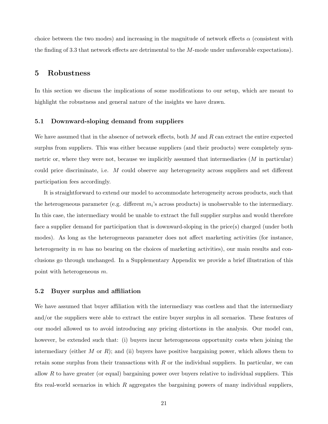choice between the two modes) and increasing in the magnitude of network effects  $\alpha$  (consistent with the finding of 3.3 that network effects are detrimental to the M-mode under unfavorable expectations).

## 5 Robustness

In this section we discuss the implications of some modifications to our setup, which are meant to highlight the robustness and general nature of the insights we have drawn.

#### 5.1 Downward-sloping demand from suppliers

We have assumed that in the absence of network effects, both  $M$  and  $R$  can extract the entire expected surplus from suppliers. This was either because suppliers (and their products) were completely symmetric or, where they were not, because we implicitly assumed that intermediaries  $(M \text{ in particular})$ could price discriminate, i.e. M could observe any heterogeneity across suppliers and set different participation fees accordingly.

It is straightforward to extend our model to accommodate heterogeneity across products, such that the heterogeneous parameter (e.g. different  $m_i$ 's across products) is unobservable to the intermediary. In this case, the intermediary would be unable to extract the full supplier surplus and would therefore face a supplier demand for participation that is downward-sloping in the price(s) charged (under both modes). As long as the heterogeneous parameter does not affect marketing activities (for instance, heterogeneity in  $m$  has no bearing on the choices of marketing activities), our main results and conclusions go through unchanged. In a Supplementary Appendix we provide a brief illustration of this point with heterogeneous m.

#### 5.2 Buyer surplus and affiliation

We have assumed that buyer affiliation with the intermediary was costless and that the intermediary and/or the suppliers were able to extract the entire buyer surplus in all scenarios. These features of our model allowed us to avoid introducing any pricing distortions in the analysis. Our model can, however, be extended such that: (i) buyers incur heterogeneous opportunity costs when joining the intermediary (either M or R); and (ii) buyers have positive bargaining power, which allows them to retain some surplus from their transactions with  $R$  or the individual suppliers. In particular, we can allow  $R$  to have greater (or equal) bargaining power over buyers relative to individual suppliers. This fits real-world scenarios in which  $R$  aggregates the bargaining powers of many individual suppliers,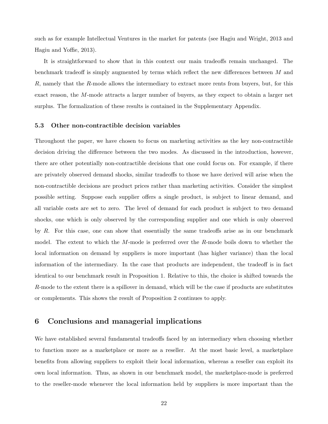such as for example Intellectual Ventures in the market for patents (see Hagiu and Wright, 2013 and Hagiu and Yoffie, 2013).

It is straightforward to show that in this context our main tradeoffs remain unchanged. The benchmark tradeoff is simply augmented by terms which reflect the new differences between M and  $R$ , namely that the  $R$ -mode allows the intermediary to extract more rents from buyers, but, for this exact reason, the M-mode attracts a larger number of buyers, as they expect to obtain a larger net surplus. The formalization of these results is contained in the Supplementary Appendix.

#### 5.3 Other non-contractible decision variables

Throughout the paper, we have chosen to focus on marketing activities as the key non-contractible decision driving the difference between the two modes. As discussed in the introduction, however, there are other potentially non-contractible decisions that one could focus on. For example, if there are privately observed demand shocks, similar tradeoffs to those we have derived will arise when the non-contractible decisions are product prices rather than marketing activities. Consider the simplest possible setting. Suppose each supplier offers a single product, is subject to linear demand, and all variable costs are set to zero. The level of demand for each product is subject to two demand shocks, one which is only observed by the corresponding supplier and one which is only observed by R. For this case, one can show that essentially the same tradeoffs arise as in our benchmark model. The extent to which the M-mode is preferred over the R-mode boils down to whether the local information on demand by suppliers is more important (has higher variance) than the local information of the intermediary. In the case that products are independent, the tradeoff is in fact identical to our benchmark result in Proposition 1. Relative to this, the choice is shifted towards the  $R$ -mode to the extent there is a spillover in demand, which will be the case if products are substitutes or complements. This shows the result of Proposition 2 continues to apply.

## 6 Conclusions and managerial implications

We have established several fundamental tradeoffs faced by an intermediary when choosing whether to function more as a marketplace or more as a reseller. At the most basic level, a marketplace benefits from allowing suppliers to exploit their local information, whereas a reseller can exploit its own local information. Thus, as shown in our benchmark model, the marketplace-mode is preferred to the reseller-mode whenever the local information held by suppliers is more important than the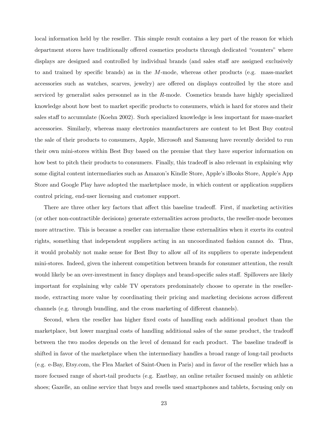local information held by the reseller. This simple result contains a key part of the reason for which department stores have traditionally offered cosmetics products through dedicated "counters" where displays are designed and controlled by individual brands (and sales staff are assigned exclusively to and trained by specific brands) as in the M-mode, whereas other products (e.g. mass-market accessories such as watches, scarves, jewelry) are offered on displays controlled by the store and serviced by generalist sales personnel as in the R-mode. Cosmetics brands have highly specialized knowledge about how best to market specific products to consumers, which is hard for stores and their sales staff to accumulate (Koehn 2002). Such specialized knowledge is less important for mass-market accessories. Similarly, whereas many electronics manufacturers are content to let Best Buy control the sale of their products to consumers, Apple, Microsoft and Samsung have recently decided to run their own mini-stores within Best Buy based on the premise that they have superior information on how best to pitch their products to consumers. Finally, this tradeoff is also relevant in explaining why some digital content intermediaries such as Amazon's Kindle Store, Apple's iBooks Store, Apple's App Store and Google Play have adopted the marketplace mode, in which content or application suppliers control pricing, end-user licensing and customer support.

There are three other key factors that affect this baseline tradeoff. First, if marketing activities (or other non-contractible decisions) generate externalities across products, the reseller-mode becomes more attractive. This is because a reseller can internalize these externalities when it exerts its control rights, something that independent suppliers acting in an uncoordinated fashion cannot do. Thus, it would probably not make sense for Best Buy to allow all of its suppliers to operate independent mini-stores. Indeed, given the inherent competition between brands for consumer attention, the result would likely be an over-investment in fancy displays and brand-specific sales staff. Spillovers are likely important for explaining why cable TV operators predominately choose to operate in the resellermode, extracting more value by coordinating their pricing and marketing decisions across different channels (e.g. through bundling, and the cross marketing of different channels).

Second, when the reseller has higher fixed costs of handling each additional product than the marketplace, but lower marginal costs of handling additional sales of the same product, the tradeoff between the two modes depends on the level of demand for each product. The baseline tradeoff is shifted in favor of the marketplace when the intermediary handles a broad range of long-tail products (e.g. e-Bay, Etsy.com, the Flea Market of Saint-Ouen in Paris) and in favor of the reseller which has a more focused range of short-tail products (e.g. Eastbay, an online retailer focused mainly on athletic shoes; Gazelle, an online service that buys and resells used smartphones and tablets, focusing only on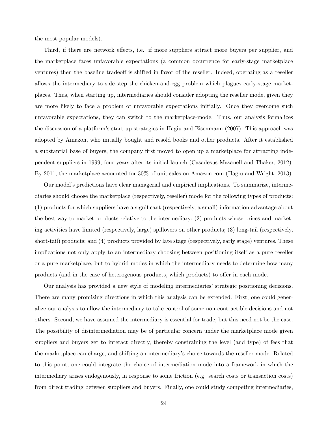the most popular models).

Third, if there are network effects, i.e. if more suppliers attract more buyers per supplier, and the marketplace faces unfavorable expectations (a common occurrence for early-stage marketplace ventures) then the baseline tradeoff is shifted in favor of the reseller. Indeed, operating as a reseller allows the intermediary to side-step the chicken-and-egg problem which plagues early-stage marketplaces. Thus, when starting up, intermediaries should consider adopting the reseller mode, given they are more likely to face a problem of unfavorable expectations initially. Once they overcome such unfavorable expectations, they can switch to the marketplace-mode. Thus, our analysis formalizes the discussion of a platform's start-up strategies in Hagiu and Eisenmann (2007). This approach was adopted by Amazon, who initially bought and resold books and other products. After it established a substantial base of buyers, the company first moved to open up a marketplace for attracting independent suppliers in 1999, four years after its initial launch (Casadesus-Masanell and Thaker, 2012). By 2011, the marketplace accounted for 30% of unit sales on Amazon.com (Hagiu and Wright, 2013).

Our model's predictions have clear managerial and empirical implications. To summarize, intermediaries should choose the marketplace (respectively, reseller) mode for the following types of products: (1) products for which suppliers have a significant (respectively, a small) information advantage about the best way to market products relative to the intermediary; (2) products whose prices and marketing activities have limited (respectively, large) spillovers on other products; (3) long-tail (respectively, short-tail) products; and (4) products provided by late stage (respectively, early stage) ventures. These implications not only apply to an intermediary choosing between positioning itself as a pure reseller or a pure marketplace, but to hybrid modes in which the intermediary needs to determine how many products (and in the case of heterogenous products, which products) to offer in each mode.

Our analysis has provided a new style of modeling intermediaries' strategic positioning decisions. There are many promising directions in which this analysis can be extended. First, one could generalize our analysis to allow the intermediary to take control of some non-contractible decisions and not others. Second, we have assumed the intermediary is essential for trade, but this need not be the case. The possibility of disintermediation may be of particular concern under the marketplace mode given suppliers and buyers get to interact directly, thereby constraining the level (and type) of fees that the marketplace can charge, and shifting an intermediary's choice towards the reseller mode. Related to this point, one could integrate the choice of intermediation mode into a framework in which the intermediary arises endogenously, in response to some friction (e.g. search costs or transaction costs) from direct trading between suppliers and buyers. Finally, one could study competing intermediaries,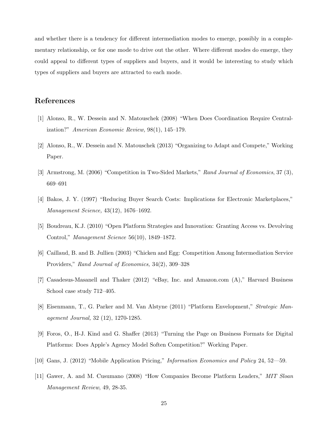and whether there is a tendency for different intermediation modes to emerge, possibly in a complementary relationship, or for one mode to drive out the other. Where different modes do emerge, they could appeal to different types of suppliers and buyers, and it would be interesting to study which types of suppliers and buyers are attracted to each mode.

## References

- [1] Alonso, R., W. Dessein and N. Matouschek (2008) "When Does Coordination Require Centralization?" American Economic Review, 98(1), 145–179.
- [2] Alonso, R., W. Dessein and N. Matouschek (2013) "Organizing to Adapt and Compete," Working Paper.
- [3] Armstrong, M. (2006) "Competition in Two-Sided Markets," Rand Journal of Economics, 37 (3), 669–691
- [4] Bakos, J. Y. (1997) "Reducing Buyer Search Costs: Implications for Electronic Marketplaces," Management Science, 43(12), 1676–1692.
- [5] Boudreau, K.J. (2010) "Open Platform Strategies and Innovation: Granting Access vs. Devolving Control," Management Science 56(10), 1849–1872.
- [6] Caillaud, B. and B. Jullien (2003) "Chicken and Egg: Competition Among Intermediation Service Providers," Rand Journal of Economics, 34(2), 309–328
- [7] Casadesus-Masanell and Thaker (2012) "eBay, Inc. and Amazon.com (A)," Harvard Business School case study 712–405.
- [8] Eisenmann, T., G. Parker and M. Van Alstyne (2011) "Platform Envelopment," Strategic Management Journal, 32 (12), 1270-1285.
- [9] Foros, O., H-J. Kind and G. Shaffer (2013) "Turning the Page on Business Formats for Digital Platforms: Does Apple's Agency Model Soften Competition?" Working Paper.
- [10] Gans, J. (2012) "Mobile Application Pricing," Information Economics and Policy 24, 52—59.
- [11] Gawer, A. and M. Cusumano (2008) "How Companies Become Platform Leaders," MIT Sloan Management Review, 49, 28-35.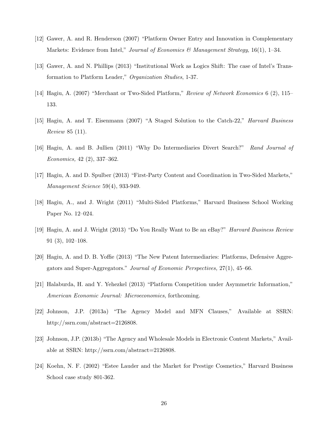- [12] Gawer, A. and R. Henderson (2007) "Platform Owner Entry and Innovation in Complementary Markets: Evidence from Intel," Journal of Economics & Management Strategy, 16(1), 1–34.
- [13] Gawer, A. and N. Phillips (2013) "Institutional Work as Logics Shift: The case of Intel's Transformation to Platform Leader," Organization Studies, 1-37.
- [14] Hagiu, A. (2007) "Merchant or Two-Sided Platform," Review of Network Economics 6 (2), 115– 133.
- [15] Hagiu, A. and T. Eisenmann (2007) "A Staged Solution to the Catch-22," Harvard Business Review 85 (11).
- [16] Hagiu, A. and B. Jullien (2011) "Why Do Intermediaries Divert Search?" Rand Journal of Economics, 42 (2), 337–362.
- [17] Hagiu, A. and D. Spulber (2013) "First-Party Content and Coordination in Two-Sided Markets," Management Science 59(4), 933-949.
- [18] Hagiu, A., and J. Wright (2011) "Multi-Sided Platforms," Harvard Business School Working Paper No. 12–024.
- [19] Hagiu, A. and J. Wright (2013) "Do You Really Want to Be an eBay?" Harvard Business Review 91 (3), 102–108.
- [20] Hagiu, A. and D. B. Yoffie (2013) "The New Patent Intermediaries: Platforms, Defensive Aggregators and Super-Aggregators." Journal of Economic Perspectives, 27(1), 45–66.
- [21] Halaburda, H. and Y. Yehezkel (2013) "Platform Competition under Asymmetric Information," American Economic Journal: Microeconomics, forthcoming.
- [22] Johnson, J.P. (2013a) "The Agency Model and MFN Clauses," Available at SSRN: http://ssrn.com/abstract=2126808.
- [23] Johnson, J.P. (2013b) "The Agency and Wholesale Models in Electronic Content Markets," Available at SSRN: http://ssrn.com/abstract=2126808.
- [24] Koehn, N. F. (2002) "Estee Lauder and the Market for Prestige Cosmetics," Harvard Business School case study 801-362.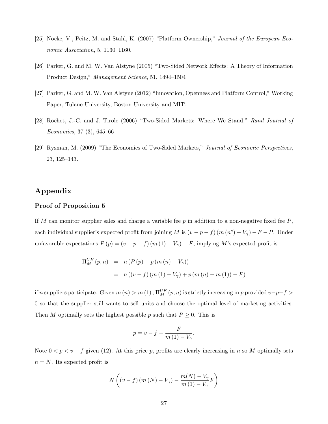- [25] Nocke, V., Peitz, M. and Stahl, K. (2007) "Platform Ownership," Journal of the European Economic Association, 5, 1130–1160.
- [26] Parker, G. and M. W. Van Alstyne (2005) "Two-Sided Network Effects: A Theory of Information Product Design," Management Science, 51, 1494–1504
- [27] Parker, G. and M. W. Van Alstyne (2012) "Innovation, Openness and Platform Control," Working Paper, Tulane University, Boston University and MIT.
- [28] Rochet, J.-C. and J. Tirole (2006) "Two-Sided Markets: Where We Stand," Rand Journal of Economics, 37 (3), 645–66
- [29] Rysman, M. (2009) "The Economics of Two-Sided Markets," Journal of Economic Perspectives, 23, 125–143.

## Appendix

#### Proof of Proposition 5

If M can monitor supplier sales and charge a variable fee p in addition to a non-negative fixed fee  $P$ , each individual supplier's expected profit from joining M is  $(v - p - f)(m (n^e) - V_\gamma) - F - P$ . Under unfavorable expectations  $P(p) = (v - p - f)(m(1) - V_{\gamma}) - F$ , implying M's expected profit is

$$
\Pi_M^{UE}(p, n) = n (P (p) + p (m (n) – V_{\gamma}))
$$
  
=  $n ((v - f) (m (1) – V_{\gamma}) + p (m (n) – m (1)) – F)$ 

if n suppliers participate. Given  $m(n) > m(1)$ ,  $\Pi_M^{UE}(p,n)$  is strictly increasing in p provided  $v-p-f >$ 0 so that the supplier still wants to sell units and choose the optimal level of marketing activities. Then M optimally sets the highest possible p such that  $P \geq 0$ . This is

$$
p = v - f - \frac{F}{m(1) - V_{\gamma}}.
$$

Note  $0 < p < v - f$  given (12). At this price p, profits are clearly increasing in n so M optimally sets  $n = N$ . Its expected profit is

$$
N\left((v-f)\left(m\left(N\right)-V_{\gamma}\right)-\frac{m(N)-V_{\gamma}}{m\left(1\right)-V_{\gamma}}F\right)
$$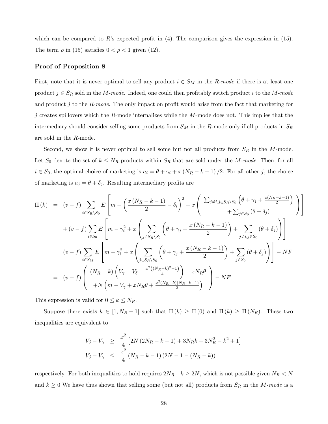which can be compared to  $R$ 's expected profit in  $(4)$ . The comparison gives the expression in  $(15)$ . The term  $\rho$  in (15) satisfies  $0 < \rho < 1$  given (12).

#### Proof of Proposition 8

First, note that it is never optimal to sell any product  $i \in S_M$  in the R-mode if there is at least one product  $j \in S_R$  sold in the M-mode. Indeed, one could then profitably switch product i to the M-mode and product j to the R-mode. The only impact on profit would arise from the fact that marketing for j creates spillovers which the R-mode internalizes while the  $M$ -mode does not. This implies that the intermediary should consider selling some products from  $S_M$  in the R-mode only if all products in  $S_R$ are sold in the R-mode.

Second, we show it is never optimal to sell some but not all products from  $S_R$  in the M-mode. Let  $S_0$  denote the set of  $k \leq N_R$  products within  $S_R$  that are sold under the M-mode. Then, for all  $i \in S_0$ , the optimal choice of marketing is  $a_i = \theta + \gamma_i + x(N_R - k - 1)/2$ . For all other j, the choice of marketing is  $a_j = \theta + \delta_j$ . Resulting intermediary profits are

$$
\Pi(k) = (v - f) \sum_{i \in S_R \setminus S_0} E \left[ m - \left( \frac{x (N_R - k - 1)}{2} - \delta_i \right)^2 + x \left( \sum_{j \neq i, j \in S_R \setminus S_0} \left( \theta + \gamma_j + \frac{x (N_R - k - 1)}{2} \right) \right) \right] \n+ (v - f) \sum_{i \in S_0} E \left[ m - \gamma_i^2 + x \left( \sum_{j \in S_R \setminus S_0} \left( \theta + \gamma_j + \frac{x (N_R - k - 1)}{2} \right) + \sum_{j \neq i, j \in S_0} \left( \theta + \delta_j \right) \right) \right] \n(v - f) \sum_{i \in S_M} E \left[ m - \gamma_i^2 + x \left( \sum_{j \in S_R \setminus S_0} \left( \theta + \gamma_j + \frac{x (N_R - k - 1)}{2} \right) + \sum_{j \in S_0} \left( \theta + \delta_j \right) \right) \right] - NF \n= (v - f) \left( \frac{(N_R - k) \left( V_\gamma - V_\delta - \frac{x^2 ((N_R - k)^2 - 1)}{4} \right) - x N_R \theta}{+ N \left( m - V_\gamma + x N_R \theta + \frac{x^2 (N_R - k)(N_R - k - 1)}{2} \right)} \right) - NF.
$$

This expression is valid for  $0 \leq k \leq N_R$ .

Suppose there exists  $k \in [1, N_R - 1]$  such that  $\Pi(k) \ge \Pi(0)$  and  $\Pi(k) \ge \Pi(N_R)$ . These two inequalities are equivalent to

$$
V_{\delta} - V_{\gamma} \geq \frac{x^2}{4} \left[ 2N \left( 2N_R - k - 1 \right) + 3N_R k - 3N_R^2 - k^2 + 1 \right]
$$
  

$$
V_{\delta} - V_{\gamma} \leq \frac{x^2}{4} \left( N_R - k - 1 \right) \left( 2N - 1 - \left( N_R - k \right) \right)
$$

respectively. For both inequalities to hold requires  $2N_R - k \geq 2N$ , which is not possible given  $N_R < N$ and  $k \geq 0$  We have thus shown that selling some (but not all) products from  $S_R$  in the M-mode is a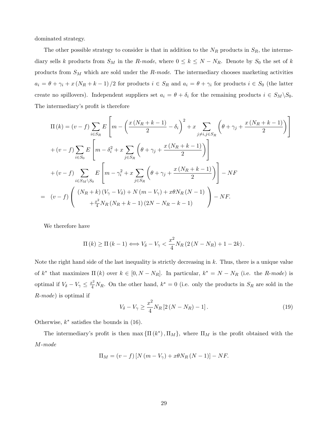dominated strategy.

The other possible strategy to consider is that in addition to the  $N_R$  products in  $S_R$ , the intermediary sells k products from  $S_M$  in the R-mode, where  $0 \le k \le N - N_R$ . Denote by  $S_0$  the set of k products from  $S_M$  which are sold under the R-mode. The intermediary chooses marketing activities  $a_i = \theta + \gamma_i + x(N_R + k - 1)/2$  for products  $i \in S_R$  and  $a_i = \theta + \gamma_i$  for products  $i \in S_0$  (the latter create no spillovers). Independent suppliers set  $a_i = \theta + \delta_i$  for the remaining products  $i \in S_M \backslash S_0$ . The intermediary's profit is therefore

$$
\Pi(k) = (v - f) \sum_{i \in S_R} E \left[ m - \left( \frac{x (N_R + k - 1)}{2} - \delta_i \right)^2 + x \sum_{j \neq i, j \in S_R} \left( \theta + \gamma_j + \frac{x (N_R + k - 1)}{2} \right) \right]
$$
  
+  $(v - f) \sum_{i \in S_0} E \left[ m - \delta_i^2 + x \sum_{j \in S_R} \left( \theta + \gamma_j + \frac{x (N_R + k - 1)}{2} \right) \right]$   
+  $(v - f) \sum_{i \in S_M \setminus S_0} E \left[ m - \gamma_i^2 + x \sum_{j \in S_R} \left( \theta + \gamma_j + \frac{x (N_R + k - 1)}{2} \right) \right] - NF$   
=  $(v - f) \left( \frac{(N_R + k)(V_\gamma - V_\delta) + N (m - V_\gamma) + x \theta N_R (N - 1)}{1 + \frac{x^2}{4} N_R (N_R + k - 1) (2N - N_R - k - 1)} \right) - NF.$ 

We therefore have

$$
\Pi(k) \geq \Pi(k-1) \Longleftrightarrow V_{\delta} - V_{\gamma} < \frac{x^2}{4} N_R \left( 2\left( N - N_R \right) + 1 - 2k \right).
$$

Note the right hand side of the last inequality is strictly decreasing in  $k$ . Thus, there is a unique value of  $k^*$  that maximizes  $\Pi(k)$  over  $k \in [0, N - N_R]$ . In particular,  $k^* = N - N_R$  (i.e. the R-mode) is optimal if  $V_{\delta} - V_{\gamma} \leq \frac{x^2}{4} N_R$ . On the other hand,  $k^* = 0$  (i.e. only the products in  $S_R$  are sold in the R-mode) is optimal if

$$
V_{\delta} - V_{\gamma} \ge \frac{x^2}{4} N_R \left[ 2\left( N - N_R \right) - 1 \right]. \tag{19}
$$

Otherwise,  $k^*$  satisfies the bounds in (16).

The intermediary's profit is then  $\max{\{\Pi(k^*), \Pi_M\}}$ , where  $\Pi_M$  is the profit obtained with the M-mode

$$
\Pi_M = (v - f) [N (m - V_{\gamma}) + x \theta N_R (N - 1)] - NF.
$$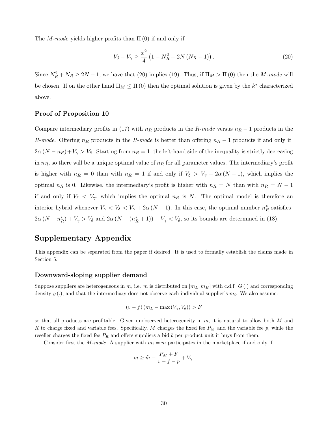The M-mode yields higher profits than  $\Pi(0)$  if and only if

$$
V_{\delta} - V_{\gamma} \ge \frac{x^2}{4} \left( 1 - N_R^2 + 2N \left( N_R - 1 \right) \right). \tag{20}
$$

Since  $N_R^2 + N_R \ge 2N - 1$ , we have that (20) implies (19). Thus, if  $\Pi_M > \Pi(0)$  then the M-mode will be chosen. If on the other hand  $\Pi_M \leq \Pi(0)$  then the optimal solution is given by the  $k^*$  characterized above.

#### Proof of Proposition 10

Compare intermediary profits in (17) with  $n_R$  products in the R-mode versus  $n_R - 1$  products in the R-mode. Offering  $n_R$  products in the R-mode is better than offering  $n_R - 1$  products if and only if  $2\alpha (N - n_R) + V_{\gamma} > V_{\delta}$ . Starting from  $n_R = 1$ , the left-hand side of the inequality is strictly decreasing in  $n_R$ , so there will be a unique optimal value of  $n_R$  for all parameter values. The intermediary's profit is higher with  $n_R = 0$  than with  $n_R = 1$  if and only if  $V_\delta > V_\gamma + 2\alpha (N-1)$ , which implies the optimal  $n_R$  is 0. Likewise, the intermediary's profit is higher with  $n_R = N$  than with  $n_R = N - 1$ if and only if  $V_{\delta} < V_{\gamma}$ , which implies the optimal  $n_R$  is N. The optimal model is therefore an interior hybrid whenever  $V_{\gamma} < V_{\delta} < V_{\gamma} + 2\alpha (N-1)$ . In this case, the optimal number  $n_R^*$  satisfies  $2\alpha (N - n_R^*) + V_\gamma > V_\delta$  and  $2\alpha (N - (n_R^* + 1)) + V_\gamma < V_\delta$ , so its bounds are determined in (18).

## Supplementary Appendix

This appendix can be separated from the paper if desired. It is used to formally establish the claims made in Section 5.

#### Downward-sloping supplier demand

Suppose suppliers are heterogeneous in m, i.e. m is distributed on  $[m_L, m_H]$  with c.d.f.  $G(.)$  and corresponding density  $g(.)$ , and that the intermediary does not observe each individual supplier's  $m_i$ . We also assume:

$$
(v - f) (mL - \max(V_{\gamma}, V_{\delta})) > F
$$

so that all products are profitable. Given unobserved heterogeneity in  $m$ , it is natural to allow both  $M$  and R to charge fixed and variable fees. Specifically, M charges the fixed fee  $P_M$  and the variable fee p, while the reseller charges the fixed fee  $P_R$  and offers suppliers a bid b per product unit it buys from them.

Consider first the M-mode. A supplier with  $m_i = m$  participates in the marketplace if and only if

$$
m \ge \widehat{m} \equiv \frac{P_M + F}{v - f - p} + V_{\gamma}.
$$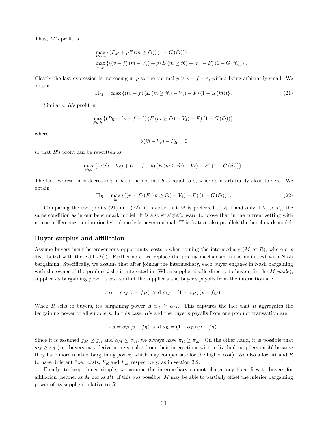Thus, M's profit is

$$
\max_{P_{M},p} \left\{ (P_{M} + pE(m \geq \hat{m})) (1 - G(\hat{m})) \right\}
$$
\n
$$
= \max_{\hat{m},p} \left\{ ((v - f)(m - V_{\gamma}) + p(E(m \geq \hat{m}) - m) - F) (1 - G(\hat{m})) \right\}.
$$

Clearly the last expression is increasing in p so the optimal p is  $v - f - \varepsilon$ , with  $\varepsilon$  being arbitrarily small. We obtain

$$
\Pi_M = \max_{\widehat{m}} \left\{ \left( (v - f) \left( E \left( m \ge \widehat{m} \right) - V_\gamma \right) - F \right) \left( 1 - G \left( \widehat{m} \right) \right) \right\}. \tag{21}
$$

Similarly, R's profit is

$$
\max_{P_R, b} \left\{ (P_R + (v - f - b) (E (m \geq \widehat{m}) - V_{\delta}) - F) (1 - G(\widehat{m})) \right\},\
$$

where

$$
b\left(\widehat{m}-V_{\delta}\right)-P_R=0
$$

so that  $R$ 's profit can be rewritten as

$$
\max_{\widehat{m},b}\left\{\left(b\left(\widehat{m}-V_{\delta}\right)+\left(v-f-b\right)\left(E\left(m\geq\widehat{m}\right)-V_{\delta}\right)-F\right)\left(1-G\left(\widehat{m}\right)\right)\right\}.
$$

The last expression is decreasing in b so the optimal b is equal to  $\varepsilon$ , where  $\varepsilon$  is arbitrarily close to zero. We obtain

$$
\Pi_R = \max_{\widehat{m}} \left\{ \left( (v - f) \left( E \left( m \ge \widehat{m} \right) - V_\delta \right) - F \right) \left( 1 - G \left( \widehat{m} \right) \right) \right\}.
$$
\n(22)

Comparing the two profits (21) and (22), it is clear that M is preferred to R if and only if  $V_{\delta} > V_{\gamma}$ , the same condition as in our benchmark model. It is also straightforward to prove that in the current setting with no cost differences, an interior hybrid mode is never optimal. This feature also parallels the benchmark model.

#### Buyer surplus and affiliation

Assume buyers incur heterogeneous opportunity costs c when joining the intermediary  $(M \text{ or } R)$ , where c is distributed with the c.d.f  $D(.)$ . Furthermore, we replace the pricing mechanism in the main text with Nash bargaining. Specifically, we assume that after joining the intermediary, each buyer engages in Nash bargaining with the owner of the product i she is interested in. When supplier i sells directly to buyers (in the  $M\text{-}mode$ ), supplier i's bargaining power is  $\alpha_M$  so that the supplier's and buyer's payoffs from the interaction are

$$
\pi_M = \alpha_M (v - f_M)
$$
 and  $s_M = (1 - \alpha_M)(v - f_M)$ .

When R sells to buyers, its bargaining power is  $\alpha_R \ge \alpha_M$ . This captures the fact that R aggregates the bargaining power of all suppliers. In this case, R's and the buyer's payoffs from one product transaction are

$$
\pi_R = \alpha_R (v - f_R)
$$
 and  $s_R = (1 - \alpha_R) (v - f_R)$ .

Since it is assumed  $f_M \ge f_R$  and  $\alpha_M \le \alpha_R$ , we always have  $\pi_R \ge \pi_M$ . On the other hand, it is possible that  $s_M \geq s_R$  (i.e. buyers may derive more surplus from their interactions with individual suppliers on M because they have more relative bargaining power, which may compensate for the higher cost). We also allow  $M$  and  $R$ to have different fixed costs,  $F_R$  and  $F_M$  respectively, as in section 3.2.

Finally, to keep things simple, we assume the intermediary cannot charge any fixed fees to buyers for affiliation (neither as M nor as R). If this was possible, M may be able to partially offset the inferior bargaining power of its suppliers relative to R.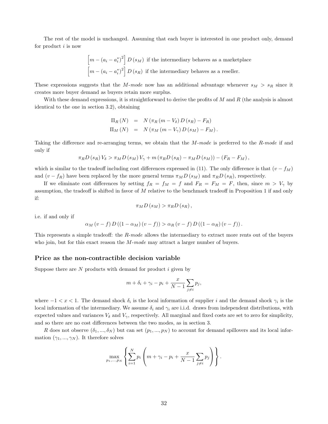The rest of the model is unchanged. Assuming that each buyer is interested in one product only, demand for product  $i$  is now

$$
\[m - (a_i - a_i^*)^2\] D(s_M)
$$
 if the intermediary behaves as a marketplace  

$$
\[m - (a_i - a_i^*)^2\] D(s_R)
$$
 if the intermediary behaves as a reseller.

These expressions suggests that the M-mode now has an additional advantage whenever  $s_M > s_R$  since it creates more buyer demand as buyers retain more surplus.

With these demand expressions, it is straightforward to derive the profits of  $M$  and  $R$  (the analysis is almost identical to the one in section 3.2), obtaining

$$
\Pi_R(N) = N(\pi_R(m - V_\delta) D(s_R) - F_R)
$$
  

$$
\Pi_M(N) = N(\pi_M(m - V_\gamma) D(s_M) - F_M).
$$

Taking the difference and re-arranging terms, we obtain that the M-mode is preferred to the R-mode if and only if

$$
\pi_R D\left(s_R\right) V_{\delta} > \pi_M D\left(s_M\right) V_{\gamma} + m\left(\pi_R D\left(s_R\right) - \pi_M D\left(s_M\right)\right) - \left(F_R - F_M\right),
$$

which is similar to the tradeoff including cost differences expressed in (11). The only difference is that  $(v - f_M)$ and  $(v - f_R)$  have been replaced by the more general terms  $\pi_M D(s_M)$  and  $\pi_R D(s_R)$ , respectively.

If we eliminate cost differences by setting  $f_R = f_M = f$  and  $F_R = F_M = F$ , then, since  $m > V_{\gamma}$  by assumption, the tradeoff is shifted in favor of  $M$  relative to the benchmark tradeoff in Proposition 1 if and only if:

$$
\pi_M D\left(s_M\right) > \pi_R D\left(s_R\right),\,
$$

i.e. if and only if

$$
\alpha_M(v-f) D((1-\alpha_M)(v-f)) > \alpha_R(v-f) D((1-\alpha_R)(v-f)).
$$

This represents a simple tradeoff: the R-mode allows the intermediary to extract more rents out of the buyers who join, but for this exact reason the  $M$ -mode may attract a larger number of buyers.

#### Price as the non-contractible decision variable

Suppose there are  $N$  products with demand for product  $i$  given by

$$
m + \delta_i + \gamma_i - p_i + \frac{x}{N-1} \sum_{j \neq i} p_j,
$$

where  $-1 < x < 1$ . The demand shock  $\delta_i$  is the local information of supplier i and the demand shock  $\gamma_i$  is the local information of the intermediary. We assume  $\delta_i$  and  $\gamma_i$  are i.i.d. draws from independent distributions, with expected values and variances  $V_{\delta}$  and  $V_{\gamma}$ , respectively. All marginal and fixed costs are set to zero for simplicity, and so there are no cost differences between the two modes, as in section 3.

R does not observe  $(\delta_1, ..., \delta_N)$  but can set  $(p_1, ..., p_N)$  to account for demand spillovers and its local information  $(\gamma_1, ..., \gamma_N)$ . It therefore solves

$$
\max_{p_1,\ldots,p_N} \left\{ \sum_{i=1}^N p_i \left( m + \gamma_i - p_i + \frac{x}{N-1} \sum_{j \neq i} p_j \right) \right\}.
$$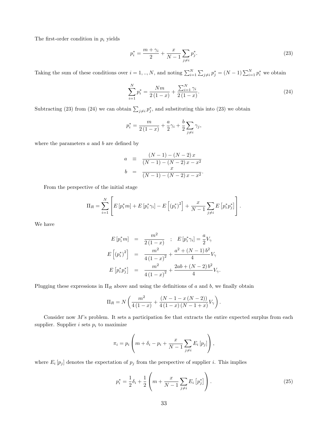The first-order condition in  $p_i$  yields

$$
p_i^* = \frac{m + \gamma_i}{2} + \frac{x}{N - 1} \sum_{j \neq i} p_j^*.
$$
 (23)

Taking the sum of these conditions over  $i = 1, ..., N$ , and noting  $\sum_{i=1}^{N} \sum_{j \neq i} p_j^* = (N-1) \sum_{i=1}^{N} p_i^*$  we obtain

$$
\sum_{i=1}^{N} p_i^* = \frac{Nm}{2(1-x)} + \frac{\sum_{i=1}^{N} \gamma_i}{2(1-x)}.
$$
\n(24)

Subtracting (23) from (24) we can obtain  $\sum_{j\neq i} p_j^*$ , and substituting this into (23) we obtain

$$
p_i^* = \frac{m}{2(1-x)} + \frac{a}{2}\gamma_i + \frac{b}{2}\sum_{j \neq i} \gamma_j,
$$

where the parameters  $a$  and  $b$  are defined by

$$
a = \frac{(N-1) - (N-2)x}{(N-1) - (N-2)x - x^2}
$$
  
\n
$$
b = \frac{x}{(N-1) - (N-2)x - x^2}.
$$

From the perspective of the initial stage

$$
\Pi_R = \sum_{i=1}^N \left[ E\left[ p_i^* m \right] + E\left[ p_i^* \gamma_i \right] - E\left[ \left( p_i^* \right)^2 \right] + \frac{x}{N-1} \sum_{j \neq i} E\left[ p_i^* p_j^* \right] \right].
$$

We have

$$
E[p_i^* m] = \frac{m^2}{2(1-x)} \; ; \; E[p_i^* \gamma_i] = \frac{a}{2} V_{\gamma}
$$
  
\n
$$
E[(p_i^*)^2] = \frac{m^2}{4(1-x)^2} + \frac{a^2 + (N-1)b^2}{4} V_{\gamma}
$$
  
\n
$$
E[p_i^* p_j^*] = \frac{m^2}{4(1-x)^2} + \frac{2ab + (N-2)b^2}{4} V_{\gamma}.
$$

Plugging these expressions in  $\Pi_R$  above and using the definitions of a and b, we finally obtain

$$
\Pi_R = N \left( \frac{m^2}{4(1-x)} + \frac{(N-1-x(N-2))}{4(1-x)(N-1+x)} V_{\gamma} \right).
$$

Consider now  $M$ 's problem. It sets a participation fee that extracts the entire expected surplus from each supplier. Supplier  $i$  sets  $p_i$  to maximize

$$
\pi_i = p_i \left( m + \delta_i - p_i + \frac{x}{N-1} \sum_{j \neq i} E_i [p_j] \right),
$$

where  $E_i[p_j]$  denotes the expectation of  $p_j$  from the perspective of supplier i. This implies

$$
p_i^* = \frac{1}{2}\delta_i + \frac{1}{2}\left(m + \frac{x}{N-1}\sum_{j \neq i} E_i \left[p_j^*\right]\right). \tag{25}
$$